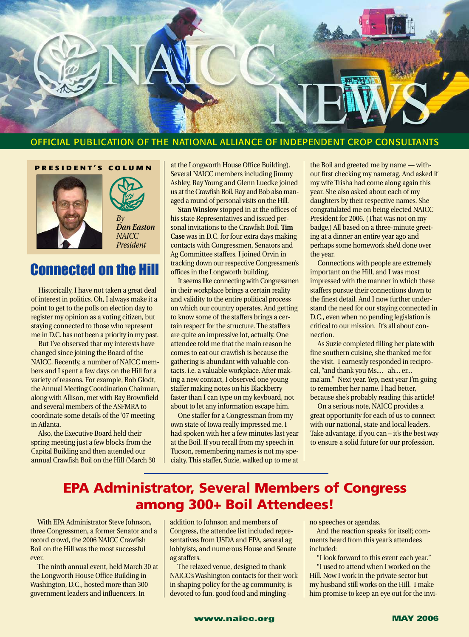

## OFFICIAL PUBLICATION OF THE NATIONAL ALLIANCE OF INDEPENDENT CROP CONSULTANTS

**PRESIDENT'S COLUMN**





## Connected on the Hill

Historically, I have not taken a great deal of interest in politics. Oh, I always make it a point to get to the polls on election day to register my opinion as a voting citizen, but staying connected to those who represent me in D.C. has not been a priority in my past.

But I've observed that my interests have changed since joining the Board of the NAICC. Recently, a number of NAICC members and I spent a few days on the Hill for a variety of reasons. For example, Bob Glodt, the Annual Meeting Coordination Chairman, along with Allison, met with Ray Brownfield and several members of the ASFMRA to coordinate some details of the '07 meeting in Atlanta.

Also, the Executive Board held their spring meeting just a few blocks from the Capital Building and then attended our annual Crawfish Boil on the Hill (March 30 at the Longworth House Office Building). Several NAICC members including Jimmy Ashley, Ray Young and Glenn Luedke joined us at the Crawfish Boil. Ray and Bob also managed a round of personal visits on the Hill.

**Stan Winslow** stopped in at the offices of his state Representatives and issued personal invitations to the Crawfish Boil. **Tim Case** was in D.C. for four extra days making contacts with Congressmen, Senators and Ag Committee staffers. I joined Orvin in tracking down our respective Congressmen's offices in the Longworth building.

It seems like connecting with Congressmen in their workplace brings a certain reality and validity to the entire political process on which our country operates. And getting to know some of the staffers brings a certain respect for the structure. The staffers are quite an impressive lot, actually. One attendee told me that the main reason he comes to eat our crawfish is because the gathering is abundant with valuable contacts, i.e. a valuable workplace. After making a new contact, I observed one young staffer making notes on his Blackberry faster than I can type on my keyboard, not about to let any information escape him.

One staffer for a Congressman from my own state of Iowa really impressed me. I had spoken with her a few minutes last year at the Boil. If you recall from my speech in Tucson, remembering names is not my specialty. This staffer, Suzie, walked up to me at

the Boil and greeted me by name — without first checking my nametag. And asked if my wife Trisha had come along again this year. She also asked about each of my daughters by their respective names. She congratulated me on being elected NAICC President for 2006. (That was not on my badge.) All based on a three-minute greeting at a dinner an entire year ago and perhaps some homework she'd done over the year.

Connections with people are extremely important on the Hill, and I was most impressed with the manner in which these staffers pursue their connections down to the finest detail. And I now further understand the need for our staying connected in D.C., even when no pending legislation is critical to our mission. It's all about connection.

As Suzie completed filling her plate with fine southern cuisine, she thanked me for the visit. I earnestly responded in reciprocal, "and thank you Ms.... ah... er... ma'am." Next year. Yep, next year I'm going to remember her name. I had better, because she's probably reading this article!

On a serious note, NAICC provides a great opportunity for each of us to connect with our national, state and local leaders. Take advantage, if you can – it's the best way to ensure a solid future for our profession.

## **EPA Administrator, Several Members of Congress among 300+ Boil Attendees!**

With EPA Administrator Steve Johnson, three Congressmen, a former Senator and a record crowd, the 2006 NAICC Crawfish Boil on the Hill was the most successful ever.

The ninth annual event, held March 30 at the Longworth House Office Building in Washington, D.C., hosted more than 300 government leaders and influencers. In

addition to Johnson and members of Congress, the attendee list included representatives from USDA and EPA, several ag lobbyists, and numerous House and Senate ag staffers.

The relaxed venue, designed to thank NAICC's Washington contacts for their work in shaping policy for the ag community, is devoted to fun, good food and mingling -

no speeches or agendas.

And the reaction speaks for itself; comments heard from this year's attendees included:

"I look forward to this event each year." "I used to attend when I worked on the Hill. Now I work in the private sector but my husband still works on the Hill. I make him promise to keep an eye out for the invi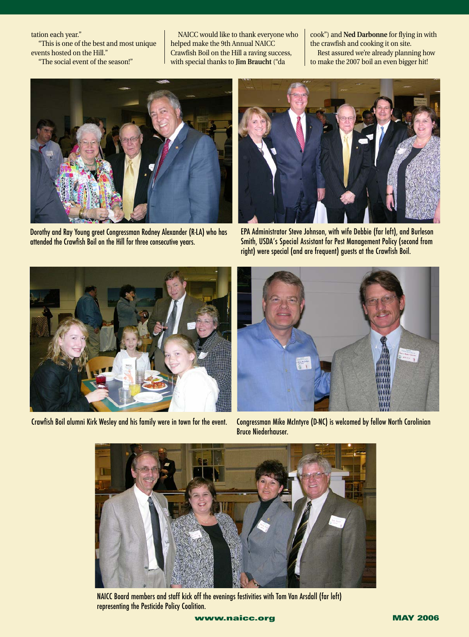tation each year."

"This is one of the best and most unique events hosted on the Hill."

"The social event of the season!"

NAICC would like to thank everyone who helped make the 9th Annual NAICC Crawfish Boil on the Hill a raving success, with special thanks to **Jim Braucht** ("da

cook") and **Ned Darbonne** for flying in with the crawfish and cooking it on site. Rest assured we're already planning how to make the 2007 boil an even bigger hit!



Dorothy and Ray Young greet Congressman Rodney Alexander (R-LA) who has attended the Crawfish Boil on the Hill for three consecutive years.



EPA Administrator Steve Johnson, with wife Debbie (far left), and Burleson Smith, USDA's Special Assistant for Pest Management Policy (second from right) were special (and are frequent) guests at the Crawfish Boil.



Crawfish Boil alumni Kirk Wesley and his family were in town for the event.



Congressman Mike McIntyre (D-NC) is welcomed by fellow North Carolinian Bruce Niederhauser.



NAICC Board members and staff kick off the evenings festivities with Tom Van Arsdall (far left) representing the Pesticide Policy Coalition.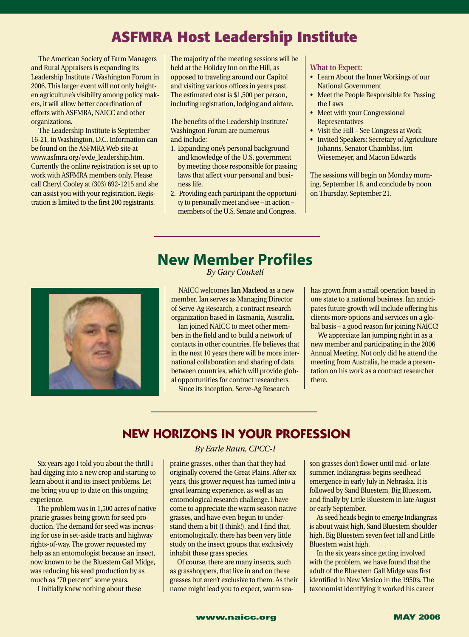# **ASFMRA Host Leadership Institute**

The American Society of Farm Managers and Rural Appraisers is expanding its Leadership Institute / Washington Forum in 2006. This larger event will not only heighten agriculture's visibility among policy makers, it will allow better coordination of efforts with ASFMRA, NAICC and other organizations.

The Leadership Institute is September 16-21, in Washington, D.C. Information can be found on the ASFMRA Web site at www.asfmra.org/evde\_leadership.htm. Currently the online registration is set up to work with ASFMRA members only. Please call Cheryl Cooley at (303) 692-1215 and she can assist you with your registration. Registration is limited to the first 200 registrants.

The majority of the meeting sessions will be held at the Holiday Inn on the Hill, as opposed to traveling around our Capitol and visiting various offices in years past. The estimated cost is \$1,500 per person, including registration, lodging and airfare.

The benefits of the Leadership Institute/ Washington Forum are numerous and include:

- 1. Expanding one's personal background and knowledge of the U.S. government by meeting those responsible for passing laws that affect your personal and business life.
- 2. Providing each participant the opportunity to personally meet and see – in action – members of the U.S. Senate and Congress.

#### **What to Expect:**

- Learn About the Inner Workings of our National Government
- Meet the People Responsible for Passing the Laws
- Meet with your Congressional Representatives
- Visit the Hill See Congress at Work
- Invited Speakers: Secretary of Agriculture Johanns, Senator Chambliss, Jim Wiesemeyer, and Macon Edwards

The sessions will begin on Monday morning, September 18, and conclude by noon on Thursday, September 21.

# **New Member Profiles**

*By Gary Coukell*

NAICC welcomes **Ian Macleod** as a new member. Ian serves as Managing Director of Serve-Ag Research, a contract research organization based in Tasmania, Australia.

Ian joined NAICC to meet other members in the field and to build a network of contacts in other countries. He believes that in the next 10 years there will be more international collaboration and sharing of data between countries, which will provide global opportunities for contract researchers.

Since its inception, Serve-Ag Research

has grown from a small operation based in one state to a national business. Ian anticipates future growth will include offering his clients more options and services on a global basis – a good reason for joining NAICC!

We appreciate Ian jumping right in as a new member and participating in the 2006 Annual Meeting. Not only did he attend the meeting from Australia, he made a presentation on his work as a contract researcher there.

## **NEW HORIZONS IN YOUR PROFESSION**

Six years ago I told you about the thrill I had digging into a new crop and starting to learn about it and its insect problems. Let me bring you up to date on this ongoing experience.

The problem was in 1,500 acres of native prairie grasses being grown for seed production. The demand for seed was increasing for use in set-aside tracts and highway rights-of-way. The grower requested my help as an entomologist because an insect, now known to be the Bluestem Gall Midge, was reducing his seed production by as much as "70 percent" some years.

I initially knew nothing about these

### *By Earle Raun, CPCC-I*

prairie grasses, other than that they had originally covered the Great Plains. After six years, this grower request has turned into a great learning experience, as well as an entomological research challenge. I have come to appreciate the warm season native grasses, and have even begun to understand them a bit (I think!), and I find that, entomologically, there has been very little study on the insect groups that exclusively inhabit these grass species.

Of course, there are many insects, such as grasshoppers, that live in and on these grasses but aren't exclusive to them. As their name might lead you to expect, warm sea-

son grasses don't flower until mid- or latesummer. Indiangrass begins seedhead emergence in early July in Nebraska. It is followed by Sand Bluestem, Big Bluestem, and finally by Little Bluestem in late August or early September.

As seed heads begin to emerge Indiangrass is about waist high, Sand Bluestem shoulder high, Big Bluestem seven feet tall and Little Bluestem waist high.

In the six years since getting involved with the problem, we have found that the adult of the Bluestem Gall Midge was first identified in New Mexico in the 1950's. The taxonomist identifying it worked his career